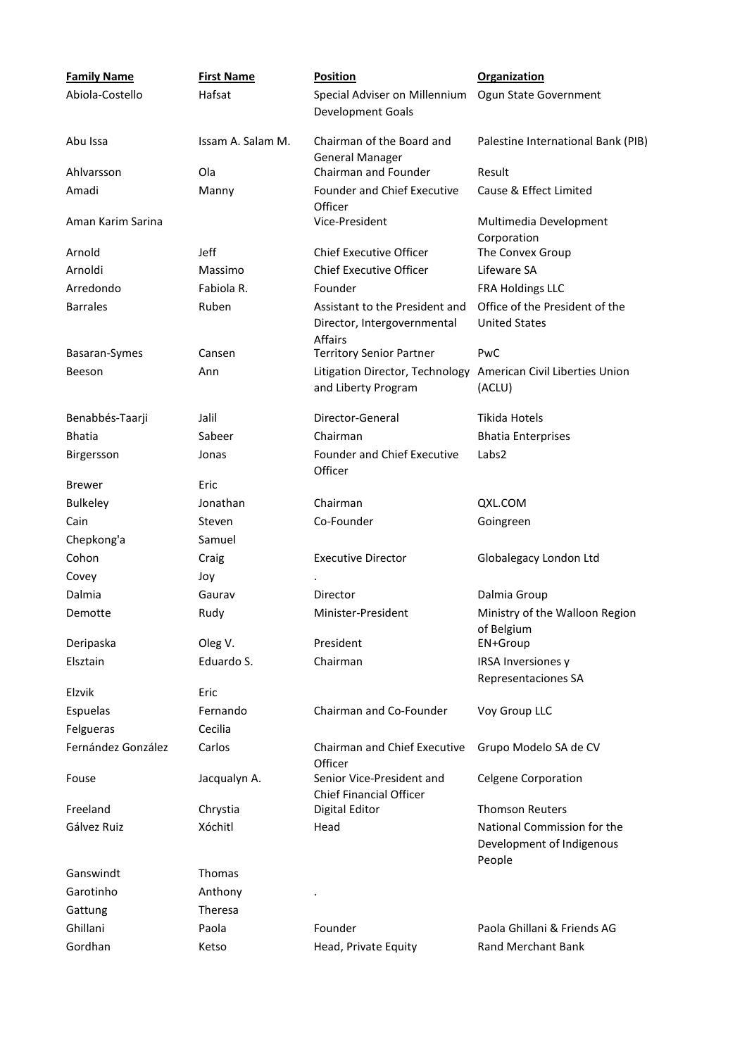| <b>Family Name</b> | <b>First Name</b> | <b>Position</b>                                                                 | <b>Organization</b>                                                |
|--------------------|-------------------|---------------------------------------------------------------------------------|--------------------------------------------------------------------|
| Abiola-Costello    | Hafsat            | Special Adviser on Millennium<br>Development Goals                              | Ogun State Government                                              |
| Abu Issa           | Issam A. Salam M. | Chairman of the Board and<br><b>General Manager</b>                             | Palestine International Bank (PIB)                                 |
| Ahlvarsson         | Ola               | Chairman and Founder                                                            | Result                                                             |
| Amadi              | Manny             | Founder and Chief Executive<br>Officer                                          | Cause & Effect Limited                                             |
| Aman Karim Sarina  |                   | Vice-President                                                                  | Multimedia Development<br>Corporation                              |
| Arnold             | <b>Jeff</b>       | <b>Chief Executive Officer</b>                                                  | The Convex Group                                                   |
| Arnoldi            | Massimo           | <b>Chief Executive Officer</b>                                                  | Lifeware SA                                                        |
| Arredondo          | Fabiola R.        | Founder                                                                         | <b>FRA Holdings LLC</b>                                            |
| <b>Barrales</b>    | Ruben             | Assistant to the President and<br>Director, Intergovernmental<br><b>Affairs</b> | Office of the President of the<br><b>United States</b>             |
| Basaran-Symes      | Cansen            | <b>Territory Senior Partner</b>                                                 | PwC                                                                |
| Beeson             | Ann               | Litigation Director, Technology<br>and Liberty Program                          | American Civil Liberties Union<br>(ACLU)                           |
| Benabbés-Taarji    | Jalil             | Director-General                                                                | <b>Tikida Hotels</b>                                               |
| <b>Bhatia</b>      | Sabeer            | Chairman                                                                        | <b>Bhatia Enterprises</b>                                          |
| Birgersson         | Jonas             | <b>Founder and Chief Executive</b><br>Officer                                   | Labs2                                                              |
| <b>Brewer</b>      | Eric              |                                                                                 |                                                                    |
| <b>Bulkeley</b>    | Jonathan          | Chairman                                                                        | QXL.COM                                                            |
| Cain               | Steven            | Co-Founder                                                                      | Goingreen                                                          |
| Chepkong'a         | Samuel            |                                                                                 |                                                                    |
| Cohon              | Craig             | <b>Executive Director</b>                                                       | Globalegacy London Ltd                                             |
| Covey              | Joy               |                                                                                 |                                                                    |
| Dalmia             | Gaurav            | Director                                                                        | Dalmia Group                                                       |
| Demotte            | Rudy              | Minister-President                                                              | Ministry of the Walloon Region<br>of Belgium                       |
| Deripaska          | Oleg V.           | President                                                                       | EN+Group                                                           |
| Elsztain           | Eduardo S.        | Chairman                                                                        | IRSA Inversiones y<br>Representaciones SA                          |
| Elzvik             | Eric              |                                                                                 |                                                                    |
| Espuelas           | Fernando          | Chairman and Co-Founder                                                         | Voy Group LLC                                                      |
| Felgueras          | Cecilia           |                                                                                 |                                                                    |
| Fernández González | Carlos            | Chairman and Chief Executive<br>Officer                                         | Grupo Modelo SA de CV                                              |
| Fouse              | Jacqualyn A.      | Senior Vice-President and<br><b>Chief Financial Officer</b>                     | <b>Celgene Corporation</b>                                         |
| Freeland           | Chrystia          | Digital Editor                                                                  | <b>Thomson Reuters</b>                                             |
| Gálvez Ruiz        | Xóchitl           | Head                                                                            | National Commission for the<br>Development of Indigenous<br>People |
| Ganswindt          | Thomas            |                                                                                 |                                                                    |
| Garotinho          | Anthony           |                                                                                 |                                                                    |
| Gattung            | Theresa           |                                                                                 |                                                                    |
| Ghillani           | Paola             | Founder                                                                         | Paola Ghillani & Friends AG                                        |
| Gordhan            | Ketso             | Head, Private Equity                                                            | Rand Merchant Bank                                                 |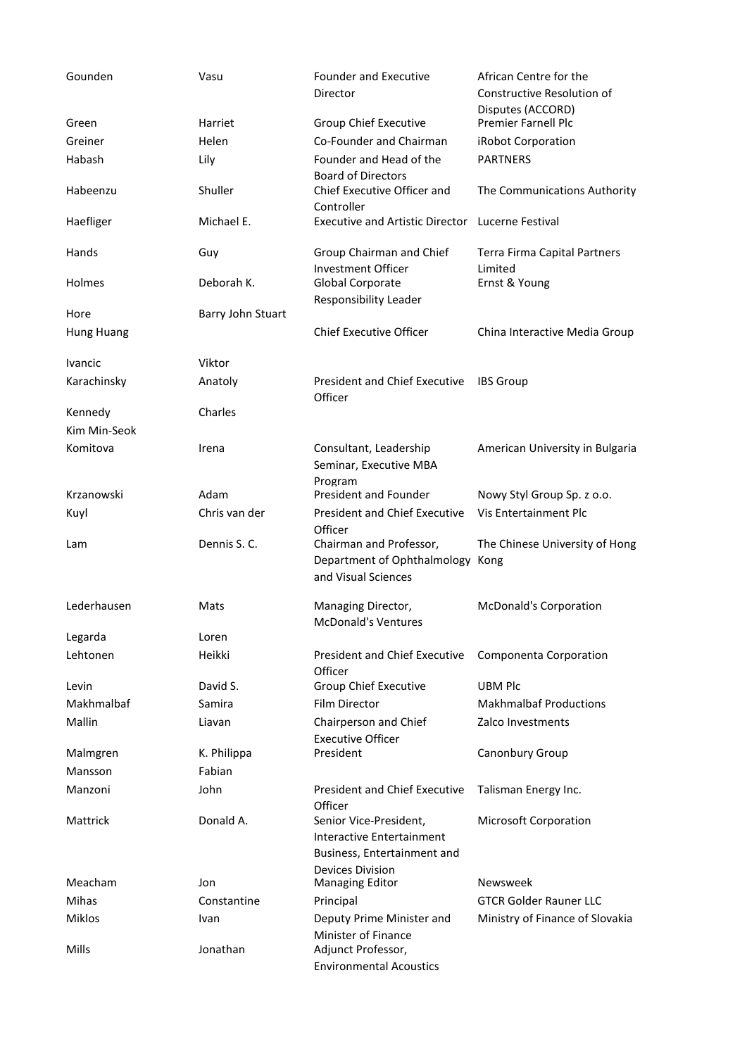| Gounden           | Vasu              | <b>Founder and Executive</b><br>Director                                           | African Centre for the<br>Constructive Resolution of |
|-------------------|-------------------|------------------------------------------------------------------------------------|------------------------------------------------------|
| Green             | Harriet           | Group Chief Executive                                                              | Disputes (ACCORD)<br><b>Premier Farnell Plc</b>      |
| Greiner           | Helen             | Co-Founder and Chairman                                                            | iRobot Corporation                                   |
| Habash            | Lily              | Founder and Head of the                                                            | <b>PARTNERS</b>                                      |
|                   |                   | <b>Board of Directors</b>                                                          |                                                      |
| Habeenzu          | Shuller           | Chief Executive Officer and<br>Controller                                          | The Communications Authority                         |
| Haefliger         | Michael E.        | <b>Executive and Artistic Director</b>                                             | Lucerne Festival                                     |
| Hands             | Guy               | Group Chairman and Chief<br><b>Investment Officer</b>                              | Terra Firma Capital Partners<br>Limited              |
| Holmes            | Deborah K.        | Global Corporate<br>Responsibility Leader                                          | Ernst & Young                                        |
| Hore              | Barry John Stuart |                                                                                    |                                                      |
| <b>Hung Huang</b> |                   | <b>Chief Executive Officer</b>                                                     | China Interactive Media Group                        |
| Ivancic           | Viktor            |                                                                                    |                                                      |
| Karachinsky       | Anatoly           | <b>President and Chief Executive</b><br>Officer                                    | <b>IBS</b> Group                                     |
| Kennedy           | Charles           |                                                                                    |                                                      |
| Kim Min-Seok      |                   |                                                                                    |                                                      |
| Komitova          | Irena             | Consultant, Leadership<br>Seminar, Executive MBA<br>Program                        | American University in Bulgaria                      |
| Krzanowski        | Adam              | President and Founder                                                              | Nowy Styl Group Sp. z o.o.                           |
| Kuyl              | Chris van der     | <b>President and Chief Executive</b><br>Officer                                    | Vis Entertainment Plc                                |
| Lam               | Dennis S.C.       | Chairman and Professor,<br>Department of Ophthalmology<br>and Visual Sciences      | The Chinese University of Hong<br>Kong               |
| Lederhausen       | Mats              | Managing Director,<br><b>McDonald's Ventures</b>                                   | <b>McDonald's Corporation</b>                        |
| Legarda           | Loren             |                                                                                    |                                                      |
| Lehtonen          | Heikki            | <b>President and Chief Executive</b><br>Officer                                    | Componenta Corporation                               |
| Levin             | David S.          | Group Chief Executive                                                              | <b>UBM Plc</b>                                       |
| Makhmalbaf        | Samira            | Film Director                                                                      | <b>Makhmalbaf Productions</b>                        |
| Mallin            | Liavan            | Chairperson and Chief<br><b>Executive Officer</b>                                  | Zalco Investments                                    |
| Malmgren          | K. Philippa       | President                                                                          | Canonbury Group                                      |
| Mansson           | Fabian            |                                                                                    |                                                      |
| Manzoni           | John              | <b>President and Chief Executive</b><br>Officer                                    | Talisman Energy Inc.                                 |
| Mattrick          | Donald A.         | Senior Vice-President,<br>Interactive Entertainment<br>Business, Entertainment and | Microsoft Corporation                                |
| Meacham           | Jon               | Devices Division<br><b>Managing Editor</b>                                         | <b>Newsweek</b>                                      |
| <b>Mihas</b>      | Constantine       | Principal                                                                          | <b>GTCR Golder Rauner LLC</b>                        |
| <b>Miklos</b>     | Ivan              | Deputy Prime Minister and                                                          | Ministry of Finance of Slovakia                      |
| Mills             | Jonathan          | Minister of Finance<br>Adjunct Professor,<br><b>Environmental Acoustics</b>        |                                                      |